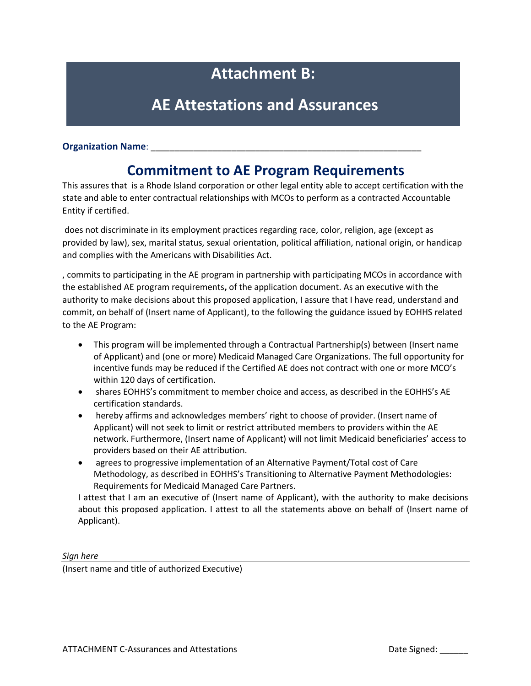# **Attachment B:**

## **AE Attestations and Assurances**

#### **Organization Name:**

### **Commitment to AE Program Requirements**

This assures that is a Rhode Island corporation or other legal entity able to accept certification with the state and able to enter contractual relationships with MCOs to perform as a contracted Accountable Entity if certified.

does not discriminate in its employment practices regarding race, color, religion, age (except as provided by law), sex, marital status, sexual orientation, political affiliation, national origin, or handicap and complies with the Americans with Disabilities Act.

, commits to participating in the AE program in partnership with participating MCOs in accordance with the established AE program requirements**,** of the application document. As an executive with the authority to make decisions about this proposed application, I assure that I have read, understand and commit, on behalf of (Insert name of Applicant), to the following the guidance issued by EOHHS related to the AE Program:

- This program will be implemented through a Contractual Partnership(s) between (Insert name of Applicant) and (one or more) Medicaid Managed Care Organizations. The full opportunity for incentive funds may be reduced if the Certified AE does not contract with one or more MCO's within 120 days of certification.
- shares EOHHS's commitment to member choice and access, as described in the EOHHS's AE certification standards.
- hereby affirms and acknowledges members' right to choose of provider. (Insert name of Applicant) will not seek to limit or restrict attributed members to providers within the AE network. Furthermore, (Insert name of Applicant) will not limit Medicaid beneficiaries' access to providers based on their AE attribution.
- agrees to progressive implementation of an Alternative Payment/Total cost of Care Methodology, as described in EOHHS's Transitioning to Alternative Payment Methodologies: Requirements for Medicaid Managed Care Partners.

I attest that I am an executive of (Insert name of Applicant), with the authority to make decisions about this proposed application. I attest to all the statements above on behalf of (Insert name of Applicant).

*Sign here*

(Insert name and title of authorized Executive)